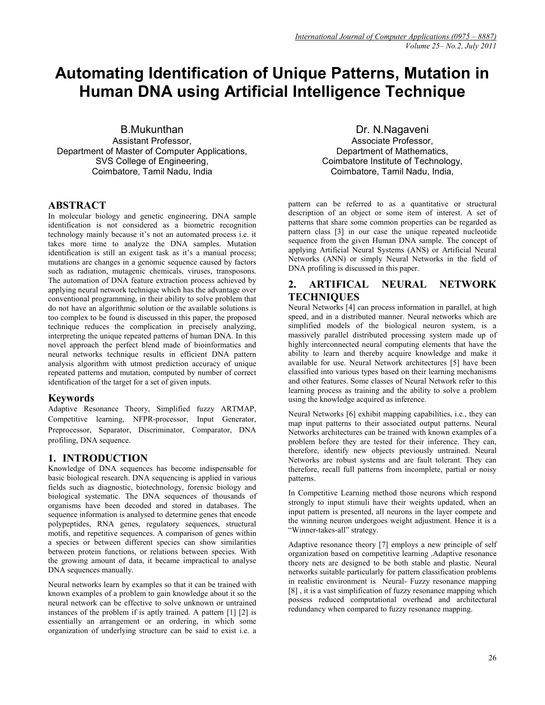# **Automating Identification of Unique Patterns, Mutation in Human DNA using Artificial Intelligence Technique**

B.Mukunthan Assistant Professor, Department of Master of Computer Applications, SVS College of Engineering, Coimbatore, Tamil Nadu, India

# **ABSTRACT**

In molecular biology and genetic engineering, DNA sample identification is not considered as a biometric recognition technology mainly because it's not an automated process i.e. it takes more time to analyze the DNA samples. Mutation identification is still an exigent task as it's a manual process; mutations are changes in a genomic sequence caused by factors such as radiation, mutagenic chemicals, viruses, transposons. The automation of DNA feature extraction process achieved by applying neural network technique which has the advantage over conventional programming, in their ability to solve problem that do not have an algorithmic solution or the available solutions is too complex to be found is discussed in this paper, the proposed technique reduces the complication in precisely analyzing, interpreting the unique repeated patterns of human DNA. In this novel approach the perfect blend made of bioinformatics and neural networks technique results in efficient DNA pattern analysis algorithm with utmost prediction accuracy of unique repeated patterns and mutation, computed by number of correct identification of the target for a set of given inputs.

# **Keywords**

Adaptive Resonance Theory, Simplified fuzzy ARTMAP, Competitive learning, NFPR-processor, Input Generator, Preprocessor, Separator, Discriminator, Comparator, DNA profiling, DNA sequence.

# **1. INTRODUCTION**

Knowledge of DNA sequences has become indispensable for basic biological research. DNA sequencing is applied in various fields such as diagnostic, biotechnology, forensic biology and biological systematic. The DNA sequences of thousands of organisms have been decoded and stored in databases. The sequence information is analysed to determine genes that encode polypeptides, RNA genes, regulatory sequences, structural motifs, and repetitive sequences. A comparison of genes within a species or between different species can show similarities between protein functions, or relations between species. With the growing amount of data, it became impractical to analyse DNA sequences manually.

Neural networks learn by examples so that it can be trained with known examples of a problem to gain knowledge about it so the neural network can be effective to solve unknown or untrained instances of the problem if is aptly trained. A pattern [1] [2] is essentially an arrangement or an ordering, in which some organization of underlying structure can be said to exist i.e. a

Dr. N.Nagaveni Associate Professor, Department of Mathematics, Coimbatore Institute of Technology, Coimbatore, Tamil Nadu, India,

pattern can be referred to as a quantitative or structural description of an object or some item of interest. A set of patterns that share some common properties can be regarded as pattern class [3] in our case the unique repeated nucleotide sequence from the given Human DNA sample. The concept of applying Artificial Neural Systems (ANS) or Artificial Neural Networks (ANN) or simply Neural Networks in the field of DNA profiling is discussed in this paper.

# **2. ARTIFICAL NEURAL NETWORK TECHNIQUES**

Neural Networks [4] can process information in parallel, at high speed, and in a distributed manner. Neural networks which are simplified models of the biological neuron system, is a massively parallel distributed processing system made up of highly interconnected neural computing elements that have the ability to learn and thereby acquire knowledge and make it available for use. Neural Network architectures [5] have been classified into various types based on their learning mechanisms and other features. Some classes of Neural Network refer to this learning process as training and the ability to solve a problem using the knowledge acquired as inference.

Neural Networks [6] exhibit mapping capabilities, i.e., they can map input patterns to their associated output patterns. Neural Networks architectures can be trained with known examples of a problem before they are tested for their inference. They can, therefore, identify new objects previously untrained. Neural Networks are robust systems and are fault tolerant. They can therefore, recall full patterns from incomplete, partial or noisy patterns.

In Competitive Learning method those neurons which respond strongly to input stimuli have their weights updated, when an input pattern is presented, all neurons in the layer compete and the winning neuron undergoes weight adjustment. Hence it is a "Winner-takes-all" strategy.

Adaptive resonance theory [7] employs a new principle of self organization based on competitive learning .Adaptive resonance theory nets are designed to be both stable and plastic. Neural networks suitable particularly for pattern classification problems in realistic environment is Neural- Fuzzy resonance mapping [8] , it is a vast simplification of fuzzy resonance mapping which possess reduced computational overhead and architectural redundancy when compared to fuzzy resonance mapping.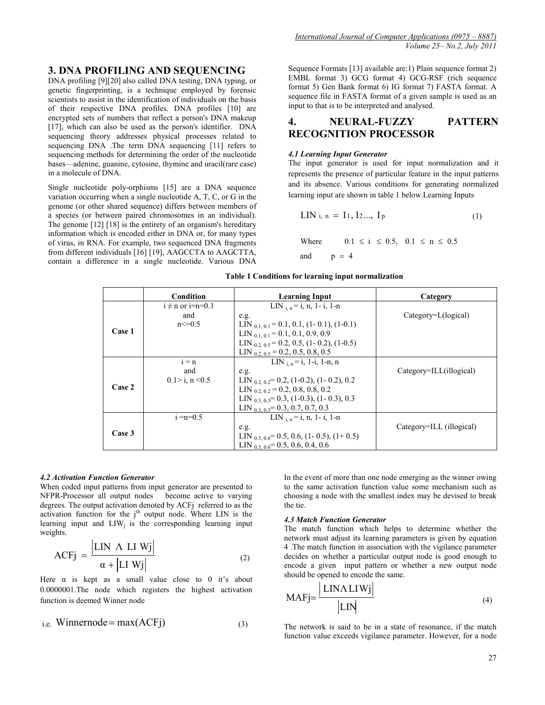# **3. DNA PROFILING AND SEQUENCING**

DNA profiling [9][20] also called DNA testing, DNA typing, or genetic fingerprinting, is a technique employed by forensic scientists to assist in the identification of individuals on the basis of their respective DNA profiles. DNA profiles [10] are encrypted sets of numbers that reflect a person's DNA makeup [17], which can also be used as the person's identifier. DNA sequencing theory addresses physical processes related to sequencing DNA .The term DNA sequencing [11] refers to sequencing methods for determining the order of the nucleotide bases—adenine, guanine, cytosine, thymine and uracil(rare case) in a molecule of DNA.

Single nucleotide poly-orphisms [15] are a DNA sequence variation occurring when a single nucleotide A, T, C, or G in the genome (or other shared sequence) differs between members of a species (or between paired chromosomes in an individual). The genome [12] [18] is the entirety of an organism's hereditary information which is encoded either in DNA or, for many types of virus, in RNA. For example, two sequenced DNA fragments from different individuals [16] [19], AAGCCTA to AAGCTTA, contain a difference in a single nucleotide. Various DNA

Sequence Formats [13] available are:1) Plain sequence format 2) EMBL format 3) GCG format 4) GCG-RSF (rich sequence format 5) Gen Bank format 6) IG format 7) FASTA format. A sequence file in FASTA format of a given sample is used as an input to that is to be interpreted and analysed.

# **4. NEURAL-FUZZY PATTERN RECOGNITION PROCESSOR**

#### *4.1 Learning Input Generator*

The input generator is used for input normalization and it represents the presence of particular feature in the input patterns and its absence. Various conditions for generating normalized learning input are shown in table 1 below.Learning Inputs

$$
LIN i, n = I1, I2..., Ip
$$
 (1)

Where  $0.1 \le i \le 0.5, \quad 0.1 \le n \le 0.5$ 

and  $p = 4$ 

|  |  | Table 1 Conditions for learning input normalization |
|--|--|-----------------------------------------------------|
|  |  |                                                     |

|        | Condition               | <b>Learning Input</b>                              | Category                 |
|--------|-------------------------|----------------------------------------------------|--------------------------|
|        | $i \neq n$ or $i=n=0.1$ | LIN $_{i,n} = i, n, 1-i, 1-n$                      |                          |
|        | and                     | e.g.                                               | Categorical              |
|        | $n \le 0.5$             | LIN $_{0.1, 0.1}$ = 0.1, 0.1, (1-0.1), (1-0.1)     |                          |
| Case 1 |                         | LIN $_{0.1,0.1}$ = 0.1, 0.1, 0.9, 0.9              |                          |
|        |                         | LIN $_{0.2,0.5}$ = 0.2, 0.5, (1-0.2), (1-0.5)      |                          |
|        |                         | LIN $_{0.2,0.5}$ = 0.2, 0.5, 0.8, 0.5              |                          |
|        | $i = n$                 | LIN $_{i,n}$ = i, 1-i, 1-n, n                      |                          |
|        | and                     | e.g.                                               | Category=ILL(illogical)  |
|        | $0.1 > i$ , n < 0.5     | LIN $_{0.2, 0.2}$ = 0.2, (1-0.2), (1-0.2), 0.2     |                          |
| Case 2 |                         | LIN $_{0.2,0.2}$ = 0.2, 0.8, 0.8, 0.2              |                          |
|        |                         | LIN $_{0.3.0.3}$ = 0.3, (1-0.3), (1-0.3), 0.3      |                          |
|        |                         | LIN $_{0.3, 0.3}$ = 0.3, 0.7, 0.7, 0.3             |                          |
|        | $i = n = 0.5$           | LIN $_{i,n} = i, n, 1-i, 1-n$                      |                          |
|        |                         | e.g.                                               | Category=ILL (illogical) |
| Case 3 |                         | LIN $_{0.5, 0.6}$ = 0.5, 0.6, (1 - 0.5), (1 + 0.5) |                          |
|        |                         | LIN $_{0.5, 0.6}$ = 0.5, 0.6, 0.4, 0.6             |                          |

### *4.2 Activation Function Generator*

When coded input patterns from input generator are presented to NFPR-Processor all output nodes become active to varying degrees. The output activation denoted by ACFj referred to as the activation function for the j<sup>th</sup> output node. Where LIN is the learning input and  $LIW_i$  is the corresponding learning input weights.

$$
ACFj = \frac{|LIN \Lambda LI Wj|}{\alpha + |LI Wj|}
$$
 (2)

Here  $\alpha$  is kept as a small value close to 0 it's about 0.0000001.The node which registers the highest activation function is deemed Winner node

i.e. Winnernode = max(ACFj) 
$$
(3)
$$

In the event of more than one node emerging as the winner owing to the same activation function value some mechanism such as choosing a node with the smallest index may be devised to break the tie.

### *4.3 Match Function Generator*

The match function which helps to determine whether the network must adjust its learning parameters is given by equation 4 .The match function in association with the vigilance parameter decides on whether a particular output node is good enough to encode a given input pattern or whether a new output node should be opened to encode the same.

$$
MAFj = \frac{|LINALIWj|}{|LIN|} \tag{4}
$$

The network is said to be in a state of resonance, if the match function value exceeds vigilance parameter. However, for a node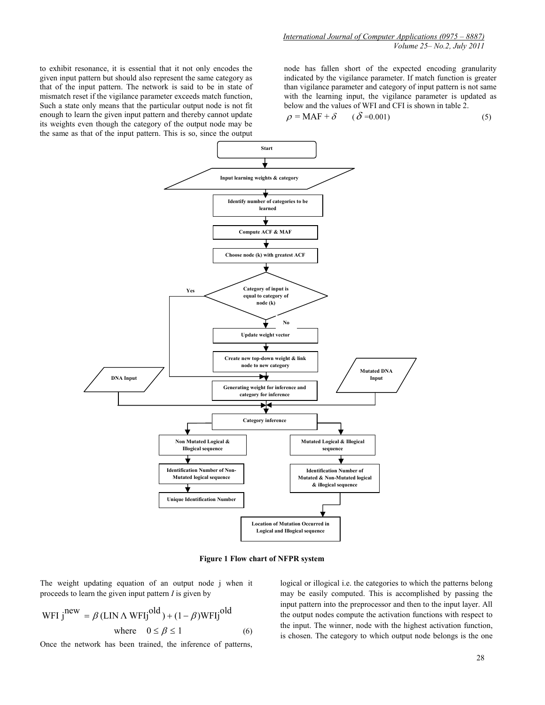to exhibit resonance, it is essential that it not only encodes the given input pattern but should also represent the same category as that of the input pattern. The network is said to be in state of mismatch reset if the vigilance parameter exceeds match function, Such a state only means that the particular output node is not fit enough to learn the given input pattern and thereby cannot update its weights even though the category of the output node may be the same as that of the input pattern. This is so, since the output node has fallen short of the expected encoding granularity indicated by the vigilance parameter. If match function is greater than vigilance parameter and category of input pattern is not same with the learning input, the vigilance parameter is updated as below and the values of WFI and CFI is shown in table 2.

$$
\rho = \text{MAF} + \delta \qquad (\delta = 0.001) \tag{5}
$$



**Figure 1 Flow chart of NFPR system** 

The weight updating equation of an output node j when it proceeds to learn the given input pattern *I* is given by

$$
WFI jnew = \beta (LIN \Lambda WFIjold) + (1 - \beta)WFIjold
$$
  
where  $0 \le \beta \le 1$  (6)

Once the network has been trained, the inference of patterns,

logical or illogical i.e. the categories to which the patterns belong may be easily computed. This is accomplished by passing the input pattern into the preprocessor and then to the input layer. All the output nodes compute the activation functions with respect to the input. The winner, node with the highest activation function, is chosen. The category to which output node belongs is the one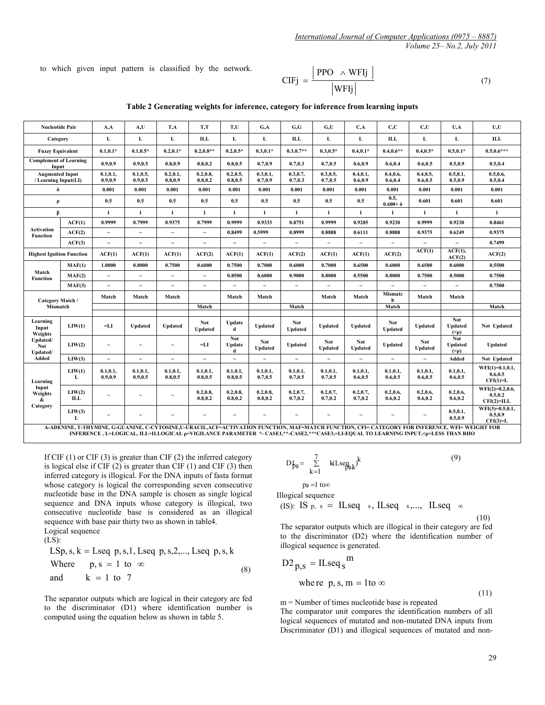to which given input pattern is classified by the network.

$$
CIFj = \frac{|PPO \wedge WFlj|}{|WFlj|}
$$
 (7)

### **Table 2 Generating weights for inference, category for inference from learning inputs**

| <b>Nucleotide Pair</b>                         |                                                                                                                                                | A, A                  | A,U                       | T,A                       | T.T                       | T,U                       | G, A                      | G.G                          | G.U                          | C <sub>A</sub>               | C.C                          | C,U                       | U,A                                                                                                                                                                 | U.U                                           |
|------------------------------------------------|------------------------------------------------------------------------------------------------------------------------------------------------|-----------------------|---------------------------|---------------------------|---------------------------|---------------------------|---------------------------|------------------------------|------------------------------|------------------------------|------------------------------|---------------------------|---------------------------------------------------------------------------------------------------------------------------------------------------------------------|-----------------------------------------------|
| Category                                       |                                                                                                                                                | L                     | L                         | L                         | <b>ILL</b>                | L                         | L                         | ILL                          | L                            | L                            | ILL                          | L                         | L                                                                                                                                                                   | <b>ILL</b>                                    |
| <b>Fuzzy Equivalent</b>                        |                                                                                                                                                | $0.1, 0.1*$           | $0.1, 0.5*$               | $0.2, 0.1*$               | $0.2.0.8**$               | $0.2, 0.5*$               | $0.3, 0.1*$               | $0.3, 0.7**$                 | $0.3, 0.5*$                  | $0.4, 0.1*$                  | $0.4, 0.6**$                 | $0.4, 0.5*$               | $0.5, 0.1*$                                                                                                                                                         | $0.5, 0.6***$                                 |
| <b>Complement of Learning</b><br>Input         |                                                                                                                                                | 0.9, 0.9              | 0.9, 0.5                  | 0.8, 0.9                  | 0.8, 0.2                  | 0.8, 0.5                  | 0.7, 0.9                  | 0.7, 0.3                     | 0.7, 0.5                     | 0.6, 0.9                     | 0.6, 0.4                     | 0.6, 0.5                  | 0.5, 0.9                                                                                                                                                            | 0.5, 0.4                                      |
| <b>Augmented Input</b><br>/ Learning Input(LI) |                                                                                                                                                | 0.1.0.1.<br>0.9, 0.9  | 0.1.0.5.<br>0.9, 0.5      | 0.2.0.1.<br>0.8, 0.9      | 0.2.0.8.<br>0.8, 0.2      | 0.2.0.5.<br>0.8, 0.5      | 0.3.0.1.<br>0.7, 0.9      | 0.3.0.7.<br>0.7, 0.3         | 0.3, 0.5,<br>0.7, 0.5        | 0.4.0.1.<br>0.6, 0.9         | 0.4.0.6.<br>0.6, 0.4         | 0.4.0.5.<br>0.6, 0.5      | 0.5.0.1.<br>0.5, 0.9                                                                                                                                                | 0.5, 0.6,<br>0.5, 0.4                         |
| $\delta$                                       |                                                                                                                                                | 0.001                 | 0.001                     | 0.001                     | 0.001                     | 0.001                     | 0.001                     | 0.001                        | 0.001                        | 0.001                        | 0.001                        | 0.001                     | 0.001                                                                                                                                                               | 0.001                                         |
| ρ                                              |                                                                                                                                                | 0.5                   | 0.5                       | 0.5                       | 0.5                       | 0.5                       | 0.5                       | 0.5                          | 0.5                          | 0.5                          | 0.5,<br>$0.600 + \delta$     | 0.601                     | 0.601                                                                                                                                                               | 0.601                                         |
| ß                                              |                                                                                                                                                | $\mathbf{1}$          | $\mathbf{1}$              | $\mathbf{1}$              | $\mathbf{1}$              | $\mathbf{1}$              | $\mathbf{1}$              | $\mathbf{1}$                 | $\mathbf{1}$                 | $\mathbf{1}$                 | 1                            | $\mathbf{1}$              | $\mathbf{1}$                                                                                                                                                        | $\mathbf{1}$                                  |
|                                                | ACF(1)                                                                                                                                         | 0.9999                | 0.7999                    | 0.9375                    | 0.7999                    | 0.9999                    | 0.9333                    | 0.8751                       | 0.9999                       | 0.9285                       | 0.9230                       | 0.9999                    | 0.9230                                                                                                                                                              | 0.8461                                        |
| <b>Activation</b><br><b>Function</b>           | ACF(2)                                                                                                                                         | $\sim$                | $\widetilde{\phantom{m}}$ | $\tilde{\phantom{a}}$     | $\widetilde{\phantom{m}}$ | 0.8499                    | 0.5999                    | 0.8999                       | 0.8888                       | 0.6111                       | 0.8888                       | 0.9375                    | 0.6249                                                                                                                                                              | 0.9375                                        |
|                                                | ACF(3)                                                                                                                                         | $\sim$                | $\sim$                    | $\tilde{}$                | $\sim$                    | $\sim$                    | $\sim$                    | $\sim$                       | $\sim$                       | $\sim$                       | $\sim$                       | $\widetilde{\phantom{m}}$ | $\sim$                                                                                                                                                              | 0.7499                                        |
| <b>Highest Ignition Function</b>               |                                                                                                                                                | ACF(1)                | ACF(1)                    | ACF(1)                    | ACF(2)                    | ACF(1)                    | ACF(1)                    | ACF(2)                       | ACF(1)                       | ACF(1)                       | ACF(2)                       | ACF(1)                    | $ACF(1)$ ,<br>ACF(2)                                                                                                                                                | ACF(2)                                        |
|                                                | MAF(1)                                                                                                                                         | 1.0000                | 0.8000                    | 0.7500                    | 0.6000                    | 0.7500                    | 0.7000                    | 0.6000                       | 0.7000                       | 0.6500                       | 0.6000                       | 0.6500                    | 0.6000                                                                                                                                                              | 0.5500                                        |
| Match<br><b>Function</b>                       | MAF(2)                                                                                                                                         | $\sim$                | $\widetilde{\phantom{m}}$ | $\widetilde{\phantom{m}}$ | $\widetilde{\phantom{m}}$ | 0.8500                    | 0.6000                    | 0.9000                       | 0.8000                       | 0.5500                       | 0.8000                       | 0.7500                    | 0.5000                                                                                                                                                              | 0.7500                                        |
|                                                | MAF(3)                                                                                                                                         | $\sim$                | $\sim$                    | $\widetilde{\phantom{m}}$ | $\sim$                    | $\tilde{\phantom{a}}$     | $\widetilde{\phantom{m}}$ | $\sim$                       | $\sim$                       | $\widetilde{\phantom{m}}$    | $\sim$                       | $\tilde{}$                | $\sim$                                                                                                                                                              | 0.7500                                        |
| Category Match /                               |                                                                                                                                                | Match                 | Match                     | Match                     |                           | Match                     | Match                     |                              | Match                        | Match                        | Mismatc<br>h                 | Match                     | Match                                                                                                                                                               |                                               |
| Mismatch                                       |                                                                                                                                                |                       |                           |                           | Match                     |                           |                           | Match                        |                              |                              | Match                        |                           |                                                                                                                                                                     | Match                                         |
| Learning<br>Input<br>Weights                   | LIW(1)                                                                                                                                         | $=$ LI                | <b>Updated</b>            | <b>Updated</b>            | <b>Not</b><br>Updated     | <b>Update</b><br>d        | Updated                   | <b>Not</b><br><b>Updated</b> | <b>Updated</b>               | <b>Updated</b>               | <b>Not</b><br><b>Updated</b> | Updated                   | <b>Not</b><br>Updated<br>$(\leq \rho)$                                                                                                                              | Not Updated                                   |
| Updated/<br><b>Not</b><br>Updated/             | LIW(2)                                                                                                                                         | $\sim$                | $\widetilde{\phantom{m}}$ | $\widetilde{\phantom{m}}$ | $=$ LI                    | <b>Not</b><br>Update<br>d | <b>Not</b><br>Updated     | <b>Updated</b>               | <b>Not</b><br><b>Updated</b> | <b>Not</b><br><b>Updated</b> | <b>Updated</b>               | <b>Not</b><br>Updated     | <b>Not</b><br><b>Updated</b><br>$(\leq \rho)$                                                                                                                       | <b>Updated</b>                                |
| Added                                          | LIW(3)                                                                                                                                         | $\sim$                | $\sim$                    | $\sim$                    | $\widetilde{\phantom{m}}$ | $\sim$                    | $\widetilde{\phantom{m}}$ | $\widetilde{\phantom{m}}$    | $\sim$                       | $\sim$                       | $\sim$                       | $\sim$                    | Added                                                                                                                                                               | Not Updated                                   |
| Learning                                       | LIW(1)<br>L                                                                                                                                    | 0.1, 0.1,<br>0.9, 0.9 | 0.1, 0.1,<br>0.9, 0.5     | 0.1, 0.1,<br>0.8, 0.5     | 0.1, 0.1,<br>0.8, 0.5     | 0.1, 0.1,<br>0.8, 0.5     | 0.1, 0.1,<br>0.7, 0.5     | 0.1, 0.1,<br>0.7, 0.5        | 0.1, 0.1,<br>0.7, 0.5        | 0.1, 0.1,<br>0.6, 0.5        | 0.1, 0.1,<br>0.6, 0.5        | 0.1, 0.1,<br>0.6, 0.5     | 0.1, 0.1,<br>0.6, 0.5                                                                                                                                               | $WFI(1)=0.1,0.1,$<br>0.6, 0.5<br>$CFI(1)=L$   |
| Input<br>Weights<br>&                          | LIW(2)<br>ILL                                                                                                                                  | $\sim$                | $\sim$                    | $\tilde{}$                | 0.2, 0.8,<br>0.8, 0.2     | 0.2, 0.8,<br>0.8, 0.2     | 0.2, 0.8,<br>0.8, 0.2     | 0.2, 0.7,<br>0.7, 0.2        | 0.2, 0.7,<br>0.7, 0.2        | 0.2, 0.7,<br>0.7, 0.2        | 0.2, 0.6,<br>0.6, 0.2        | 0.2, 0.6,<br>0.6, 0.2     | 0.2, 0.6,<br>0.6, 0.2                                                                                                                                               | $WFI(2)=0.2,0.6$ ,<br>0.5.0.2<br>$CFI(2)=ILL$ |
| Category                                       | LIW(3)<br>L                                                                                                                                    | $\sim$                | $\sim$                    | $\tilde{\phantom{a}}$     | $\widetilde{\phantom{m}}$ | $\widetilde{\phantom{m}}$ | $\widetilde{\phantom{m}}$ | $\widetilde{\phantom{m}}$    | $\widetilde{\phantom{m}}$    | $\sim$                       | $\widetilde{\phantom{m}}$    | $\widetilde{\phantom{m}}$ | 0.5, 0.1,<br>0.5, 0.9                                                                                                                                               | $WFI(3)=0.5, 0.1,$<br>0.5, 0.9<br>$CFI(3)=L$  |
|                                                | A-ADENINE, T-THYMINE, G-GUANINE, C-CYTOSINE,U-URACIL,ACF=ACTIVATION FUNCTION, MAF=MATCH FUNCTION, CFI= CATEGORY FOR INFERENCE, WFI= WEIGHT FOR |                       |                           |                           |                           |                           |                           |                              |                              |                              |                              |                           | INFERENCE , L=LOGICAL, ILL=ILLOGICAL p=VIGILANCE PARAMETER *- CASE1,**-CASE2,***CASE3,=LI-EQUAL TO LEARNING INPUT, <p=less rho<="" td="" than=""><td></td></p=less> |                                               |

If CIF (1) or CIF (3) is greater than CIF (2) the inferred category is logical else if CIF (2) is greater than CIF (1) and CIF (3) then inferred category is illogical. For the DNA inputs of fasta format whose category is logical the corresponding seven consecutive nucleotide base in the DNA sample is chosen as single logical sequence and DNA inputs whose category is illogical, two consecutive nucleotide base is considered as an illogical sequence with base pair thirty two as shown in table4. Logical sequence

$$
\text{Logon}\atop(\text{LS})
$$

LSp, s, k = Lseq p, s, 1, Lseq p, s, 2, ..., Lseq p, s, k  
Where 
$$
p, s = 1
$$
 to  $\infty$   
and  $k = 1$  to 7 (8)

The separator outputs which are logical in their category are fed to the discriminator (D1) where identification number is computed using the equation below as shown in table 5.

$$
D_{ps} = \sum_{k=1}^{7} k(\text{Lseg}_{sk})^k
$$
 (9)

pș =1 to∞ Illogical sequence

(IS): IS p, 
$$
s =
$$
 ILseq s, ILseq s,..., ILseq  $\infty$ 

$$
(10)
$$

(11)

The separator outputs which are illogical in their category are fed to the discriminator (D2) where the identification number of illogical sequence is generated.

$$
D2_{p,s} = ILseq_s^m
$$
  
where  $p, s, m =$ 

$$
where p, s, m = 1 to \infty
$$

m = Number of times nucleotide base is repeated

m

The comparator unit compares the identification numbers of all logical sequences of mutated and non-mutated DNA inputs from Discriminator (D1) and illogical sequences of mutated and non-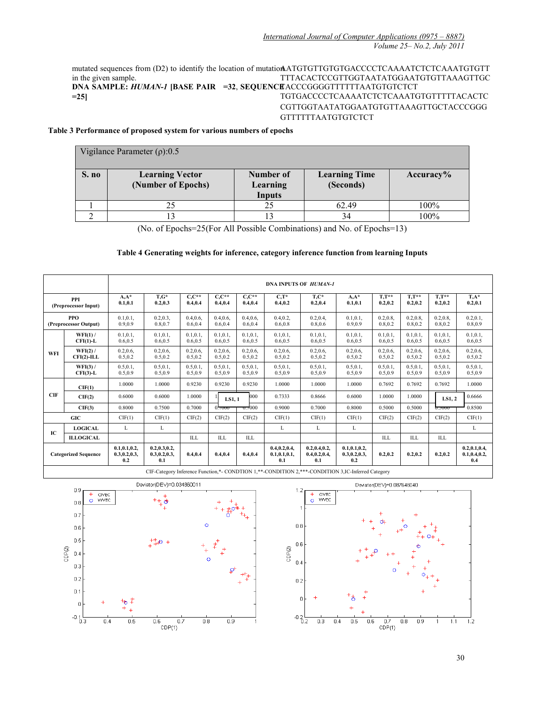mutated sequences from (D2) to identify the location of mutation ATGTGTGTGTGACCCCTCAAAATCTCTCAAATGTGTT in the given sample. **DNA SAMPLE:** *HUMAN-1* **[BASE PAIR =32, SEQUENCE ACCCGGGGTTTTTTAATGTGTCTCT =25]** TTTACACTCCGTTGGTAATATGGAATGTGTTAAAGTTGC TGTGACCCCTCAAAATCTCTCAAATGTGTTTTTACACTC CGTTGGTAATATGGAATGTGTTAAAGTTGCTACCCGGG GTTTTTTAATGTGTCTCT

### **Table 3 Performance of proposed system for various numbers of epochs**

|       | Vigilance Parameter $(\rho)$ :0.5            |                                 |                                   |           |
|-------|----------------------------------------------|---------------------------------|-----------------------------------|-----------|
| S. no | <b>Learning Vector</b><br>(Number of Epochs) | Number of<br>Learning<br>Inputs | <b>Learning Time</b><br>(Seconds) | Accuracy% |
|       | 25                                           | 25                              | 62.49                             | 100%      |
|       | 13                                           |                                 | 34                                | 100%      |

(No. of Epochs=25(For All Possible Combinations) and No. of Epochs=13)

### **Table 4 Generating weights for inference, category inference function from learning Inputs**

|            |                                     |                                         | <b>DNA INPUTS OF HUMAN-1</b>            |                       |                       |                       |                                         |                                         |                                                                                                   |                         |                       |                         |                                         |
|------------|-------------------------------------|-----------------------------------------|-----------------------------------------|-----------------------|-----------------------|-----------------------|-----------------------------------------|-----------------------------------------|---------------------------------------------------------------------------------------------------|-------------------------|-----------------------|-------------------------|-----------------------------------------|
|            | <b>PPI</b><br>(Preprocessor Input)  | $A.A*$<br>0.1, 0.1                      | $T.G*$<br>0.2, 0.3                      | $C.C**$<br>0.4.0.4    | $C.C**$<br>0.4.0.4    | $C.C**$<br>0.4.0.4    | $C.T^*$<br>0.4, 0.2                     | $T.C^*$<br>0.2, 0.4                     | $A.A*$<br>0.1, 0.1                                                                                | $T.T**$<br>0.2.0.2      | $T.T**$<br>0.2, 0.2   | <b>T.T**</b><br>0.2.0.2 | $TA^*$<br>0.2, 0.1                      |
|            | <b>PPO</b><br>(Preprocessor Output) | $0.1.0.1$ .<br>0.9.0.9                  | 0.2, 0.3,<br>0.8, 0.7                   | 0.4.0.6<br>0.6, 0.4   | 0.4.0.6<br>0.6.0.4    | 0.4.0.6<br>0.6, 0.4   | 0.4.0.2.<br>0.6, 0.8                    | 0.2.0.4<br>0.8, 0.6                     | $0.1.0.1$ .<br>0.9, 0.9                                                                           | 0.2, 0.8,<br>0.8, 0.2   | 0.2, 0.8,<br>0.8, 0.2 | 0.2, 0.8,<br>0.8, 0.2   | 0.2, 0.1,<br>0.8, 0.9                   |
|            | $WFI(1)$ /<br>$CFI(1)-L$            | 0.1, 0.1,<br>0.6, 0.5                   | 0.1, 0.1,<br>0.6, 0.5                   | 0.1, 0.1,<br>0.6, 0.5 | 0.1.0.1.<br>0.6, 0.5  | 0.1, 0.1,<br>0.6, 0.5 | 0.1.0.1.<br>0.6, 0.5                    | 0.1, 0.1,<br>0.6, 0.5                   | 0.1, 0.1,<br>0.6, 0.5                                                                             | $0.1.0.1$ .<br>0.6, 0.5 | 0.1, 0.1,<br>0.6, 0.5 | 0.1, 0.1,<br>0.6, 0.5   | 0.1, 0.1,<br>0.6, 0.5                   |
| WFI        | $WFI(2)$ /<br>$CFI(2)$ -ILL         | 0.2, 0.6,<br>0.5, 0.2                   | 0.2, 0.6,<br>0.5, 0.2                   | 0.2, 0.6,<br>0.5, 0.2 | 0.2, 0.6,<br>0.5, 0.2 | 0.2, 0.6,<br>0.5, 0.2 | 0.2, 0.6,<br>0.5, 0.2                   | 0.2, 0.6,<br>0.5, 0.2                   | 0.2, 0.6,<br>0.5, 0.2                                                                             | 0.2, 0.6,<br>0.5, 0.2   | 0.2, 0.6,<br>0.5, 0.2 | 0.2, 0.6,<br>0.5, 0.2   | 0.2, 0.6,<br>0.5, 0.2                   |
|            | $WFI(3)$ /<br>$CFI(3)-L$            | 0.5, 0.1,<br>0.5, 0.9                   | 0.5, 0.1,<br>0.5, 0.9                   | 0.5, 0.1,<br>0.5, 0.9 | 0.5, 0.1,<br>0.5.0.9  | 0.5, 0.1,<br>0.5, 0.9 | 0.5, 0.1,<br>0.5, 0.9                   | 0.5, 0.1,<br>0.5, 0.9                   | 0.5, 0.1,<br>0.5, 0.9                                                                             | 0.5, 0.1,<br>0.5.0.9    | 0.5, 0.1,<br>0.5, 0.9 | 0.5, 0.1,<br>0.5, 0.9   | 0.5, 0.1,<br>0.5, 0.9                   |
|            | CIF(1)                              | 1.0000                                  | 1.0000                                  | 0.9230                | 0.9230                | 0.9230                | 1.0000                                  | 1.0000                                  | 1.0000                                                                                            | 0.7692                  | 0.7692                | 0.7692                  | 1.0000                                  |
| <b>CIF</b> | CIF(2)                              | 0.6000                                  | 0.6000                                  | 1.0000                | LS1, 1                | 000                   | 0.7333                                  | 0.8666                                  | 0.6000                                                                                            | 1.0000                  | 1.0000                | LS1, 2                  | 0.6666                                  |
|            | CIF(3)                              | 0.8000                                  | 0.7500                                  | 0.7000                | 0.7000                | $\sqrt{0.7000}$       | 0.9000                                  | 0.7000                                  | 0.8000                                                                                            | 0.5000                  | 0.5000                | ს.ასსს                  | 0.8500                                  |
|            | GIC                                 | CIF(1)                                  | CIF(1)                                  | CIF(2)                | CIF(2)                | CIF(2)                | CIF(1)                                  | CIF(1)                                  | CIF(1)                                                                                            | CIF(2)                  | CIF(2)                | CIF(2)                  | CIF(1)                                  |
| IC         | <b>LOGICAL</b>                      | L                                       | L                                       |                       |                       |                       | L                                       | L                                       | L                                                                                                 |                         |                       |                         | L                                       |
|            | <b>ILLOGICAL</b>                    |                                         |                                         | ILL                   | ILL                   | ILL                   |                                         |                                         |                                                                                                   | ILL                     | ILL                   | <b>ILL</b>              |                                         |
|            | <b>Categorized Sequence</b>         | 0.1, 0.1, 0.2,<br>0.3, 0.2, 0.3,<br>0.2 | 0.2, 0.3, 0.2,<br>0.3, 0.2, 0.3,<br>0.1 | 0.4, 0.4              | 0.4.0.4               | 0.4.0.4               | 0.4, 0.2, 0.4,<br>0.1, 0.1, 0.1,<br>0.1 | 0.2, 0.4, 0.2,<br>0.4, 0.2, 0.4,<br>0.1 | 0.1, 0.1, 0.2,<br>0.3, 0.2, 0.3,<br>0.2                                                           | 0.2.0.2                 | 0.2, 0.2              | 0.2, 0.2                | 0.2, 0.1, 0.4,<br>0.1, 0.4, 0.2,<br>0.4 |
|            |                                     |                                         |                                         |                       |                       |                       |                                         |                                         | CIF-Category Inference Function.*- CONDTION 1.**-CONDITION 2.***-CONDITION 3.IC-Inferred Category |                         |                       |                         |                                         |

CIF-Category Inference Function,\*- CONDTION 1,\*\*-CONDITION 2,\*\*\*-CONDITION 3,IC-Inferred Category



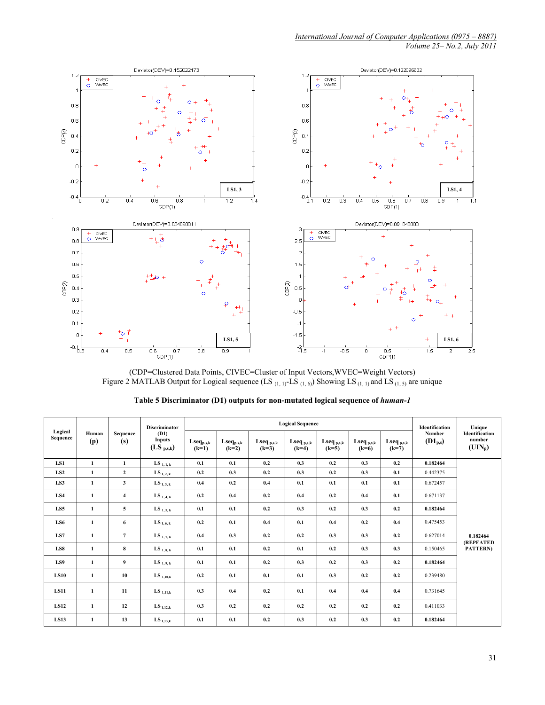

(CDP=Clustered Data Points, CIVEC=Cluster of Input Vectors,WVEC=Weight Vectors) Figure 2 MATLAB Output for Logical sequence  $(LS_{(1, 1)}-LS_{(1, 6)})$  Showing LS  $_{(1, 1)}$  and LS  $_{(1, 5)}$  are unique

|                     |              |                 | <b>Discriminator</b><br>(D1)<br><b>Inputs</b><br>$(LS_{p,s,k})$ | <b>Logical Sequence</b>   |                           |                           |                           |                           |                           |                           | Identification                | Unique                                |
|---------------------|--------------|-----------------|-----------------------------------------------------------------|---------------------------|---------------------------|---------------------------|---------------------------|---------------------------|---------------------------|---------------------------|-------------------------------|---------------------------------------|
| Logical<br>Sequence | Human<br>(p) | Sequence<br>(s) |                                                                 | $Lseq_{p,s,k}$<br>$(k=1)$ | $Lseq_{p,s,k}$<br>$(k=2)$ | $Lseq_{p,s,k}$<br>$(k=3)$ | $Lseq_{p,s,k}$<br>$(k=4)$ | $Lseq_{p,s,k}$<br>$(k=5)$ | $Lseq_{p,s,k}$<br>$(k=6)$ | $Lseq_{p,s,k}$<br>$(k=7)$ | <b>Number</b><br>$(D1_{p,s})$ | Identification<br>number<br>$(UIN_p)$ |
| LS1                 | $\mathbf{1}$ | $\mathbf{1}$    | $LS_{1,1,k}$                                                    | 0.1                       | 0.1                       | 0.2                       | 0.3                       | 0.2                       | 0.3                       | 0.2                       | 0.182464                      |                                       |
| LS2                 | $\mathbf{1}$ | $\overline{2}$  | $LS_{1,2,k}$                                                    | 0.2                       | 0.3                       | 0.2                       | 0.3                       | 0.2                       | 0.3                       | 0.1                       | 0.442375                      |                                       |
| LS3                 | 1            | 3               | $LS_{1,3,k}$                                                    | 0.4                       | 0.2                       | 0.4                       | 0.1                       | 0.1                       | 0.1                       | 0.1                       | 0.672457                      |                                       |
| LS4                 | 1            | $\overline{4}$  | LS $_{\rm 1,\,4,\,k}$                                           | 0.2                       | 0.4                       | 0.2                       | 0.4                       | 0.2                       | 0.4                       | 0.1                       | 0.671137                      |                                       |
| LS5                 | 1            | 5               | LS $_{1, 5, k}$                                                 | 0.1                       | 0.1                       | 0.2                       | 0.3                       | 0.2                       | 0.3                       | 0.2                       | 0.182464                      |                                       |
| LS6                 | 1            | 6               | $LS_{1,6,k}$                                                    | 0.2                       | 0.1                       | 0.4                       | 0.1                       | 0.4                       | 0.2                       | 0.4                       | 0.475453                      |                                       |
| LS7                 | 1            | $\overline{7}$  | LS $_{1, 7, k}$                                                 | 0.4                       | 0.3                       | 0.2                       | 0.2                       | 0.3                       | 0.3                       | 0.2                       | 0.627014                      | 0.182464<br>(REPEATED                 |
| LS8                 | 1            | 8               | LS $_{1, 8, k}$                                                 | 0.1                       | 0.1                       | 0.2                       | 0.1                       | 0.2                       | 0.3                       | 0.3                       | 0.150465                      | PATTERN)                              |
| LS9                 | 1            | 9               | LS $_{1, 9, k}$                                                 | 0.1                       | 0.1                       | 0.2                       | 0.3                       | 0.2                       | 0.3                       | 0.2                       | 0.182464                      |                                       |
| <b>LS10</b>         | 1            | 10              | LS $_{1,10,k}$                                                  | 0.2                       | 0.1                       | 0.1                       | 0.1                       | 0.3                       | 0.2                       | 0.2                       | 0.239480                      |                                       |
| <b>LS11</b>         | $\mathbf{1}$ | 11              | LS $_{1,11,k}$                                                  | 0.3                       | 0.4                       | 0.2                       | 0.1                       | 0.4                       | 0.4                       | 0.4                       | 0.731645                      |                                       |
| <b>LS12</b>         | 1            | 12              | $LS_{1,12,k}$                                                   | 0.3                       | 0.2                       | 0.2                       | 0.2                       | 0.2                       | 0.2                       | 0.2                       | 0.411033                      |                                       |
| <b>LS13</b>         | 1            | 13              | $LS_{1,13,k}$                                                   | 0.1                       | 0.1                       | 0.2                       | 0.3                       | 0.2                       | 0.3                       | 0.2                       | 0.182464                      |                                       |

**Table 5 Discriminator (D1) outputs for non-mutated logical sequence of** *human-1*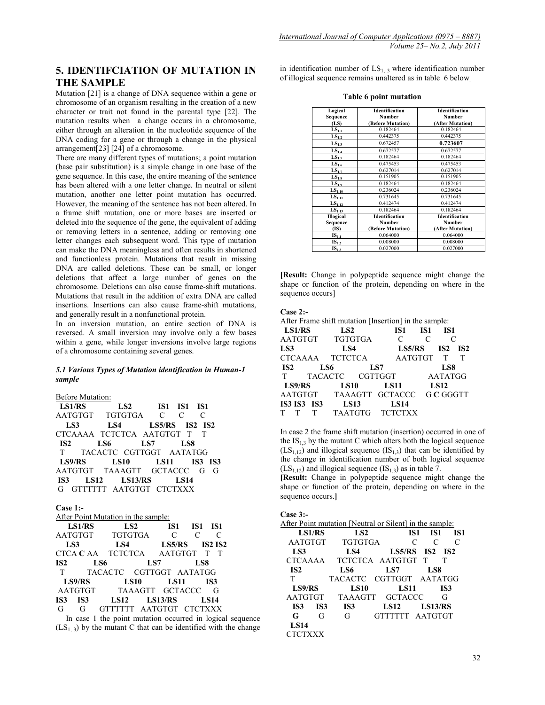# **5. IDENTIFCIATION OF MUTATION IN THE SAMPLE**

Mutation [21] is a change of DNA sequence within a gene or chromosome of an organism resulting in the creation of a new character or trait not found in the parental type [22]. The mutation results when a change occurs in a chromosome, either through an alteration in the nucleotide sequence of the DNA coding for a gene or through a change in the physical arrangement[23] [24] of a chromosome.

There are many different types of mutations; a point mutation (base pair substitution) is a simple change in one base of the gene sequence. In this case, the entire meaning of the sentence has been altered with a one letter change. In neutral or silent mutation, another one letter point mutation has occurred. However, the meaning of the sentence has not been altered. In a frame shift mutation, one or more bases are inserted or deleted into the sequence of the gene, the equivalent of adding or removing letters in a sentence, adding or removing one letter changes each subsequent word. This type of mutation can make the DNA meaningless and often results in shortened and functionless protein. Mutations that result in missing DNA are called deletions. These can be small, or longer deletions that affect a large number of genes on the chromosome. Deletions can also cause frame-shift mutations. Mutations that result in the addition of extra DNA are called insertions. Insertions can also cause frame-shift mutations, and generally result in a nonfunctional protein.

In an inversion mutation, an entire section of DNA is reversed. A small inversion may involve only a few bases within a gene, while longer inversions involve large regions of a chromosome containing several genes.

### *5.1 Various Types of Mutation identification in Human-1 sample*

### Before Mutation:

|  | LS1/RS LS2 IS1 IS1 IS1      |  |                |  |
|--|-----------------------------|--|----------------|--|
|  | AATGTGT TGTGTGA C C         |  | $\overline{C}$ |  |
|  | LS3 LS4 LS5/RS IS2 IS2      |  |                |  |
|  | CTCAAAA TCTCTCA AATGTGT T T |  |                |  |
|  | IS2 LS6 LS7 LS8             |  |                |  |
|  | T TACACTC CGTTGGT AATATGG   |  |                |  |
|  | LS9/RS LS10 LS11 IS3 IS3    |  |                |  |
|  | AATGTGT TAAAGTT GCTACCC G G |  |                |  |
|  | IS3 LS12 LS13/RS LS14       |  |                |  |
|  | G GTTTTTT AATGTGT CTCTXXX   |  |                |  |

**Case 1:-** 

|  | After Point Mutation in the sample: |  |       |   |
|--|-------------------------------------|--|-------|---|
|  | LS1/RS LS2 IS1 IS1 IS1              |  |       |   |
|  | AATGTGT TGTGTGA C                   |  | $C$ – | C |
|  | LS3 LS4 LS5/RS IS2 IS2              |  |       |   |
|  | CTCA CAA TCTCTCA AATGTGT T T        |  |       |   |
|  | IS2 LS6 LS7 LS8                     |  |       |   |
|  | T TACACTC CGTTGGT AATATGG           |  |       |   |
|  |                                     |  |       |   |
|  | AATGTGT TAAAGTT GCTACCC G           |  |       |   |
|  | IS3 IS3 LS12 LS13/RS LS14           |  |       |   |
|  | G G GTTTTTT AATGTGT CTCTXXX         |  |       |   |
|  |                                     |  |       |   |

In case 1 the point mutation occurred in logical sequence  $(LS_{1, 3})$  by the mutant C that can be identified with the change

in identification number of  $LS_{1, 3}$  where identification number of illogical sequence remains unaltered as in table 6 below.

**Table 6 point mutation** 

| Logical<br>Sequence<br>(LS)                   | <b>Identification</b><br><b>Number</b><br>(Before Mutation) | <b>Identification</b><br><b>Number</b><br>(After Mutation) |
|-----------------------------------------------|-------------------------------------------------------------|------------------------------------------------------------|
| $\mathbf{L}\mathbf{S}_{\mathbf{L}\mathbf{1}}$ | 0.182464                                                    | 0.182464                                                   |
| $LS_{1,2}$                                    | 0.442375                                                    | 0.442375                                                   |
| $LS_{1,3}$                                    | 0.672457                                                    | 0.723607                                                   |
| $LS_{1,4}$                                    | 0.672577                                                    | 0.672577                                                   |
| $LS_{1,5}$                                    | 0.182464                                                    | 0.182464                                                   |
| $\overline{\text{LS}}_{1.6}$                  | 0.475453                                                    | 0.475453                                                   |
| $LS_{1,7}$                                    | 0.627014                                                    | 0.627014                                                   |
| $LS_{1,8}$                                    | 0.151905                                                    | 0.151905                                                   |
| $\overline{\text{LS}}_{1.9}$                  | 0.182464                                                    | 0.182464                                                   |
| LS <sub>1.10</sub>                            | 0.236024                                                    | 0.236024                                                   |
| $LS_{1,11}$                                   | 0.731645                                                    | 0.731645                                                   |
| $\overline{\rm LS}_{\rm L12}$                 | 0.412474                                                    | 0.412474                                                   |
| LS <sub>1.13</sub>                            | 0.182464                                                    | 0.182464                                                   |
| Illogical                                     | <b>Identification</b>                                       | <b>Identification</b>                                      |
| Sequence                                      | Number                                                      | Number                                                     |
| (IS)                                          | (Before Mutation)                                           | (After Mutation)                                           |
| $IS_{1,1}$                                    | 0.064000                                                    | 0.064000                                                   |
| $IS_{1,2}$                                    | 0.008000                                                    | 0.008000                                                   |
| $IS_{1,3}$                                    | 0.027000                                                    | 0.027000                                                   |

**[Result:** Change in polypeptide sequence might change the shape or function of the protein, depending on where in the sequence occurs]

### **Case 2:-**

After Frame shift mutation [Insertion] in the sample:

|     |     |                           |                     |                                          | C                |                                                     |                                                                                                                                                    |
|-----|-----|---------------------------|---------------------|------------------------------------------|------------------|-----------------------------------------------------|----------------------------------------------------------------------------------------------------------------------------------------------------|
|     |     |                           |                     |                                          |                  |                                                     |                                                                                                                                                    |
|     |     |                           |                     |                                          |                  |                                                     |                                                                                                                                                    |
| IS2 |     |                           |                     |                                          |                  | <b>LS8</b>                                          |                                                                                                                                                    |
|     |     |                           |                     |                                          |                  |                                                     |                                                                                                                                                    |
|     |     |                           |                     |                                          |                  |                                                     |                                                                                                                                                    |
|     |     |                           |                     |                                          |                  |                                                     |                                                                                                                                                    |
|     |     |                           |                     |                                          |                  |                                                     |                                                                                                                                                    |
| T T |     |                           |                     |                                          |                  |                                                     |                                                                                                                                                    |
|     | LS3 | LS6<br><b>IS3 IS3 IS3</b> | LS9/RS LS10<br>LS13 | $LS1/RS$ $LS2$<br>AATGTGT TGTGTGA<br>LS7 | C<br><b>LS14</b> | T TACACTC CGTTGGT<br><b>LS11</b><br>TAATGTG TCTCTXX | $\cdots$<br><b>IS1 IS1 IS1</b><br>LS4 LS5/RS IS2 IS2<br>CTCAAAA TCTCTCA AATGTGT T T<br>AATATGG<br><b>LS12</b><br>AATGTGT TAAAGTT GCTACCC G C GGGTT |

In case 2 the frame shift mutation (insertion) occurred in one of the  $IS_{13}$  by the mutant C which alters both the logical sequence  $(LS<sub>1,12</sub>)$  and illogical sequence  $(IS<sub>1,3</sub>)$  that can be identified by the change in identification number of both logical sequence  $(LS<sub>1.12</sub>)$  and illogical sequence  $(IS<sub>1.3</sub>)$  as in table 7.

**[Result:** Change in polypeptide sequence might change the shape or function of the protein, depending on where in the sequence occurs.**]** 

|                 |            |                 | After Point mutation [Neutral or Silent] in the sample: |               |                |     |
|-----------------|------------|-----------------|---------------------------------------------------------|---------------|----------------|-----|
|                 | LS1/RS     | LS2             |                                                         | IS1           | IS1            | IS1 |
|                 |            | AATGTGT TGTGTGA |                                                         | $\mathcal{C}$ | C              |     |
| <b>LS3</b>      |            | LS4             | LS5/RS IS2 IS2                                          |               |                |     |
| CTCAAAA         |            |                 | TCTCTCA AATGTGT T                                       |               | $\top$         |     |
| IS <sub>2</sub> |            | <b>LS6</b>      | LS7                                                     |               | <b>LS8</b>     |     |
| T               |            |                 | TACACTC CGTTGGT AATATGG                                 |               |                |     |
| LS9/RS          |            | <b>LS10</b>     | <b>LS11</b>                                             |               | IS3            |     |
|                 |            |                 | AATGTGT TAAAGTT GCTACCC                                 |               | G              |     |
| <b>IS3</b>      | <b>IS3</b> | IS3             | <b>LS12</b>                                             |               | <b>LS13/RS</b> |     |
| G               | G          | G               | GTTTTTT AATGTGT                                         |               |                |     |
| <b>LS14</b>     |            |                 |                                                         |               |                |     |
| <b>CTCTXXX</b>  |            |                 |                                                         |               |                |     |
|                 |            |                 |                                                         |               |                |     |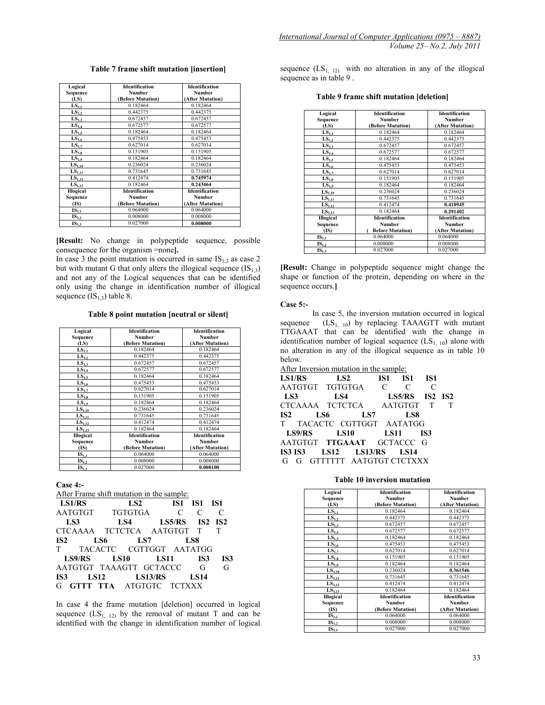### **Table 7 frame shift mutation [insertion]**

| Logical                       | <b>Identification</b> | <b>Identification</b> |
|-------------------------------|-----------------------|-----------------------|
| Sequence                      | <b>Number</b>         | <b>Number</b>         |
| (LS)                          | (Before Mutation)     | (After Mutation)      |
| $LS_{1,1}$                    | 0.182464              | 0.182464              |
| $LS_{1,2}$                    | 0.442375              | 0.442375              |
| $LS_{1,3}$                    | 0.672457              | 0.672457              |
| $LS_{1,4}$                    | 0.672577              | 0.672577              |
| $LS_{1,5}$                    | 0.182464              | 0.182464              |
| $LS_{1,6}$                    | 0.475453              | 0.475453              |
| $LS_{1.7}$                    | 0.627014              | 0.627014              |
| $LS_{1,8}$                    | 0.151905              | 0.151905              |
| $LS_{1.9}$                    | 0.182464              | 0.182464              |
| $\overline{\text{LS}}_{1,10}$ | 0.236024              | 0.236024              |
| $\overline{\text{LS}}_{1,11}$ | 0.731645              | 0.731645              |
| LS <sub>1.12</sub>            | 0.412474              | 0.745974              |
| $LS_{1,13}$                   | 0.182464              | 0.243464              |
| Illogical                     | <b>Identification</b> | <b>Identification</b> |
| Sequence                      | <b>Number</b>         | Number                |
| (IS)                          | (Before Mutation)     | (After Mutation)      |
| $\mathbf{IS_{1.1}}$           | 0.064000              | 0.064000              |
| $IS_{1,2}$                    | 0.008000              | 0.008000              |
| $IS_{1,3}$                    | 0.027000              | 0.008000              |

**[Result:** No change in polypeptide sequence, possible consequence for the organism =none**].** 

In case 3 the point mutation is occurred in same  $IS_{1,3}$  as case 2 but with mutant G that only alters the illogical sequence  $(IS_{1,3})$ and not any of the Logical sequences that can be identified only using the change in identification number of illogical sequence  $(IS_{1,3})$  table 8.

### **Table 8 point mutation [neutral or silent]**

| Logical               | <b>Identification</b> | <b>Identification</b> |
|-----------------------|-----------------------|-----------------------|
| Sequence              | Number                | <b>Number</b>         |
| (LS)                  | (Before Mutation)     | (After Mutation)      |
| $LS_{1,1}$            | 0.182464              | 0.182464              |
| $\overline{L}S_{1,2}$ | 0.442375              | 0.442375              |
| $LS_{1,3}$            | 0.672457              | 0.672457              |
| $LS_{1,4}$            | 0.672577              | 0.672577              |
| $LS_{1.5}$            | 0.182464              | 0.182464              |
| $LS_{1.6}$            | 0.475453              | 0.475453              |
| $LS_{1,7}$            | 0.627014              | 0.627014              |
| $LS_{1.8}$            | 0.151905              | 0.151905              |
| $LS_{1.9}$            | 0.182464              | 0.182464              |
| LS <sub>1,10</sub>    | 0.236024              | 0.236024              |
| $LS_{1,11}$           | 0.731645              | 0.731645              |
| $LS_{1,12}$           | 0.412474              | 0.412474              |
| $LS_{1,13}$           | 0.182464              | 0.182464              |
| <b>Illogical</b>      | <b>Identification</b> | <b>Identification</b> |
| Sequence              | <b>Number</b>         | Number                |
| (IS)                  | (Before Mutation)     | (After Mutation)      |
| $IS_{1,1}$            | 0.064000              | 0.064000              |
| $\mathbf{IS}_{1,2}$   | 0.008000              | 0.008000              |
| $IS_{1,3}$            | 0.027000              | 0.008100              |

**Case 4:-** 

After Frame shift mutation in the sample:

| LS1/RS LS2 IS1 IS1 IS1      |  |               |   |     |
|-----------------------------|--|---------------|---|-----|
| AATGTGT TGTGTGA             |  | $\mathcal{C}$ | C | C   |
| LS3 LS4 LS5/RS IS2 IS2      |  |               |   |     |
| CTCAAAA TCTCTCA AATGTGT T T |  |               |   |     |
| IS2 LS6 LS7 LS8             |  |               |   |     |
| T TACACTC CGTTGGT AATATGG   |  |               |   |     |
| LS9/RS LS10 LS11 IS3        |  |               |   | IS3 |
| AATGTGT TAAAGTT GCTACCC G   |  |               |   | G   |
| IS3 LS12 LS13/RS LS14       |  |               |   |     |
| G GTTT TTA ATGTGTC TCTXXX   |  |               |   |     |

In case 4 the frame mutation [deletion] occurred in logical sequence  $(LS_{1, 12})$  by the removal of mutant T and can be identified with the change in identification number of logical

sequence  $(LS_{1, 12})$  with no alteration in any of the illogical sequence as in table 9 .

### **Table 9 frame shift mutation [deletion]**

| Logical                       | <b>Identification</b>    | <b>Identification</b> |
|-------------------------------|--------------------------|-----------------------|
| Sequence                      | <b>Number</b>            | <b>Number</b>         |
| (LS)                          | (Before Mutation)        | (After Mutation)      |
| $LS_{1,1}$                    | 0.182464                 | 0.182464              |
| $LS_{1,2}$                    | 0.442375                 | 0.442375              |
| $LS_{1,3}$                    | 0.672457                 | 0.672457              |
| $LS_{1,4}$                    | 0.672577                 | 0.672577              |
| $\overline{\rm LS}_{1.5}$     | 0.182464                 | 0.182464              |
| $LS_{1.6}$                    | 0.475453                 | 0.475453              |
| $LS_{1,7}$                    | 0.627014                 | 0.627014              |
| $\overline{\rm LS}_{1.8}$     | 0.151905                 | 0.151905              |
| $LS_{1.9}$                    | 0.182464                 | 0.182464              |
| $\mathrm{LS}_{\mathrm{L10}}$  | 0.236024                 | 0.236024              |
| $LS_{1,11}$                   | 0.731645                 | 0.731645              |
| $\overline{\text{LS}}_{1,12}$ | 0.412474                 | 0.410945              |
| LS <sub>L13</sub>             | 0.182464                 | 0.291402              |
| Illogical                     | <b>Identification</b>    | <b>Identification</b> |
| Sequence                      | Number                   | Number                |
| (IS)                          | <b>Before Mutation</b> ) | (After Mutation)      |
| $\mathbf{IS_{1,1}}$           | 0.064000                 | 0.064000              |
| $IS_{1,2}$                    | 0.008000                 | 0.008000              |
| $IS_{1,3}$                    | 0.027000                 | 0.027000              |

**[Result:** Change in polypeptide sequence might change the shape or function of the protein, depending on where in the sequence occurs.**]** 

#### **Case 5:-**

In case 5, the inversion mutation occurred in logical sequence  $(LS_{1, 10})$  by replacing TAAAGTT with mutant TTGAAAT that can be identified with the change in identification number of logical sequence  $(LS_{1, 10})$  alone with no alteration in any of the illogical sequence as in table 10 below.

| After Inversion mutation in the sample: |  |  |  |
|-----------------------------------------|--|--|--|
|                                         |  |  |  |

| LS1/RS LS2 IS1 IS1 IS1           |  |  |  |
|----------------------------------|--|--|--|
| AATGTGT TGTGTGA CCCC             |  |  |  |
| LS3 LS4 LS5/RS IS2 IS2           |  |  |  |
| CTCAAAA TCTCTCA AATGTGT T T      |  |  |  |
| IS2 LS6 LS7 LS8                  |  |  |  |
| T TACACTC CGTTGGT AATATGG        |  |  |  |
| LS9/RS LS10 LS11 IS3             |  |  |  |
| AATGTGT <b>TTGAAAT</b> GCTACCC G |  |  |  |
| IS3 IS3 LS12 LS13/RS LS14        |  |  |  |
| G G GTTTTTT AATGTGT CTCTXXX      |  |  |  |
|                                  |  |  |  |

#### **Table 10 inversion mutation**

| Logical<br>Sequence<br>(LS)   | <b>Identification</b><br><b>Number</b><br>(Before Mutation) | <b>Identification</b><br><b>Number</b><br>(After Mutation) |
|-------------------------------|-------------------------------------------------------------|------------------------------------------------------------|
| $LS_{1,1}$                    | 0.182464                                                    | 0.182464                                                   |
| $LS_{1,2}$                    | 0.442375                                                    | 0.442375                                                   |
| $LS_{1,3}$                    | 0.672457                                                    | 0.672457                                                   |
| $\overline{\text{LS}}_{1.4}$  | 0.672577                                                    | 0.672577                                                   |
| $LS_{1.5}$                    | 0.182464                                                    | 0.182464                                                   |
| $LS_{1,6}$                    | 0.475453                                                    | 0.475453                                                   |
| $LS_{1,7}$                    | 0.627014                                                    | 0.627014                                                   |
| $LS_{1,8}$                    | 0.151905                                                    | 0.151905                                                   |
| $LS_{1.9}$                    | 0.182464                                                    | 0.182464                                                   |
| $LS_{1,10}$                   | 0.236024                                                    | 0.361546                                                   |
| $LS_{1,11}$                   | 0.731645                                                    | 0.731645                                                   |
| $\overline{\text{LS}}_{1,12}$ | 0.412474                                                    | 0.412474                                                   |
| $LS_{1,13}$                   | 0.182464                                                    | 0.182464                                                   |
| Illogical                     | <b>Identification</b>                                       | <b>Identification</b>                                      |
| Sequence                      | Number                                                      | Number                                                     |
| (IS)                          | (Before Mutation)                                           | (After Mutation)                                           |
| $IS_{1,1}$                    | 0.064000                                                    | 0.064000                                                   |
| $IS_{1,2}$                    | 0.008000                                                    | 0.008000                                                   |
| $IS_{1,3}$                    | 0.027000                                                    | 0.027000                                                   |